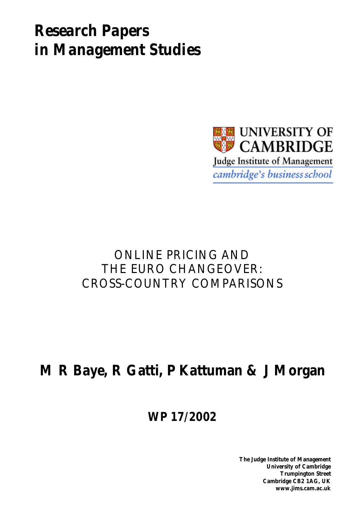# *Research Papers in Management Studies*



## ONLINE PRICING AND THE EURO CHANGEOVER: CROSS-COUNTRY COMPARISONS

# **M R Baye, R Gatti, P Kattuman & J Morgan**

**WP 17/2002**

**The Judge Institute of Management University of Cambridge Trumpington Street Cambridge CB2 1AG, UK www.jims.cam.ac.uk**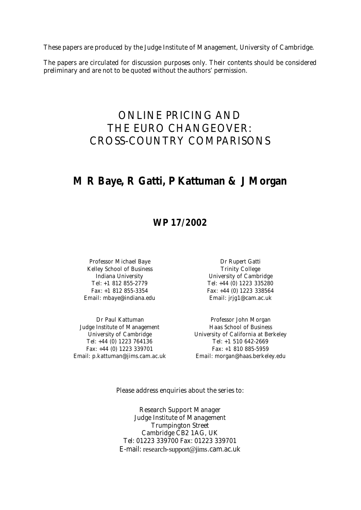These papers are produced by the Judge Institute of Management, University of Cambridge.

The papers are circulated for discussion purposes only. Their contents should be considered preliminary and are not to be quoted without the authors' permission.

## ONLINE PRICING AND THE EURO CHANGEOVER: CROSS-COUNTRY COMPARISONS

### **M R Baye, R Gatti, P Kattuman & J Morgan**

### **WP 17/2002**

Professor Michael Baye Dr Rupert Gatti Kelley School of Business Trinity College Email: mbaye@indiana.edu Email: jrjg1@cam.ac.uk

Judge Institute of Management Haas School of Business Tel: +44 (0) 1223 764136 Tel: +1 510 642-2669 Fax: +44 (0) 1223 339701 Fax: +1 810 885-5959 Email: p.kattuman@jims.cam.ac.uk Email: morgan@haas.berkeley.edu

Indiana University University of Cambridge Tel: +1 812 855-2779<br>Tel: +1 812 855-2779 Tel: +44 (0) 1223 335280 Fax: +1 812 855-3354 Fax: +44 (0) 1223 338564

Dr Paul Kattuman **Professor John Morgan** University of Cambridge The University of California at Berkeley

Please address enquiries about the series to:

Research Support Manager Judge Institute of Management Trumpington Street Cambridge CB2 1AG, UK Tel: 01223 339700 Fax: 01223 339701 E-mail: research-support@jims.cam.ac.uk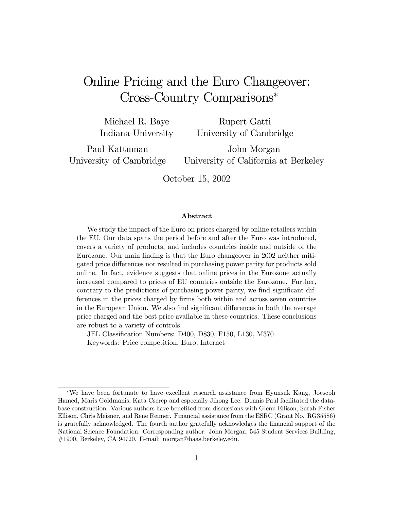## Online Pricing and the Euro Changeover: Cross-Country Comparisons<sup>∗</sup>

Michael R. Baye Indiana University Rupert Gatti University of Cambridge

Paul Kattuman University of Cambridge

John Morgan University of California at Berkeley

October 15, 2002

#### Abstract

We study the impact of the Euro on prices charged by online retailers within the EU. Our data spans the period before and after the Euro was introduced, covers a variety of products, and includes countries inside and outside of the Eurozone. Our main finding is that the Euro changeover in 2002 neither mitigated price differences nor resulted in purchasing power parity for products sold online. In fact, evidence suggests that online prices in the Eurozone actually increased compared to prices of EU countries outside the Eurozone. Further, contrary to the predictions of purchasing-power-parity, we find significant differences in the prices charged by firms both within and across seven countries in the European Union. We also find significant differences in both the average price charged and the best price available in these countries. These conclusions are robust to a variety of controls.

JEL Classification Numbers: D400, D830, F150, L130, M370 Keywords: Price competition, Euro, Internet

<sup>∗</sup>We have been fortunate to have excellent research assistance from Hyunsuk Kang, Joeseph Hamed, Maris Goldmanis, Kata Cserep and especially Jihong Lee. Dennis Paul facilitated the database construction. Various authors have benefited from discussions with Glenn Ellison, Sarah Fisher Ellison, Chris Meisner, and Rene Reimer. Financial assistance from the ESRC (Grant No. RG35586) is gratefully acknowledged. The fourth author gratefully acknowledges the financial support of the National Science Foundation. Corresponding author: John Morgan, 545 Student Services Building, #1900, Berkeley, CA 94720. E-mail: morgan@haas.berkeley.edu.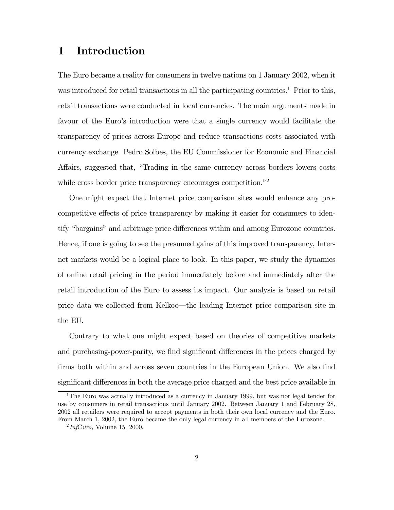### 1 Introduction

The Euro became a reality for consumers in twelve nations on 1 January 2002, when it was introduced for retail transactions in all the participating countries.<sup>1</sup> Prior to this, retail transactions were conducted in local currencies. The main arguments made in favour of the Euro's introduction were that a single currency would facilitate the transparency of prices across Europe and reduce transactions costs associated with currency exchange. Pedro Solbes, the EU Commissioner for Economic and Financial Affairs, suggested that, "Trading in the same currency across borders lowers costs while cross border price transparency encourages competition."<sup>2</sup>

One might expect that Internet price comparison sites would enhance any procompetitive effects of price transparency by making it easier for consumers to identify "bargains" and arbitrage price differences within and among Eurozone countries. Hence, if one is going to see the presumed gains of this improved transparency, Internet markets would be a logical place to look. In this paper, we study the dynamics of online retail pricing in the period immediately before and immediately after the retail introduction of the Euro to assess its impact. Our analysis is based on retail price data we collected from Kelkoo–the leading Internet price comparison site in the EU.

Contrary to what one might expect based on theories of competitive markets and purchasing-power-parity, we find significant differences in the prices charged by firms both within and across seven countries in the European Union. We also find significant differences in both the average price charged and the best price available in

<sup>&</sup>lt;sup>1</sup>The Euro was actually introduced as a currency in January 1999, but was not legal tender for use by consumers in retail transactions until January 2002. Between January 1 and February 28, 2002 all retailers were required to accept payments in both their own local currency and the Euro. From March 1, 2002, the Euro became the only legal currency in all members of the Eurozone.

 $^{2}$ *Inf* $\bigoplus$ *uro*, Volume 15, 2000.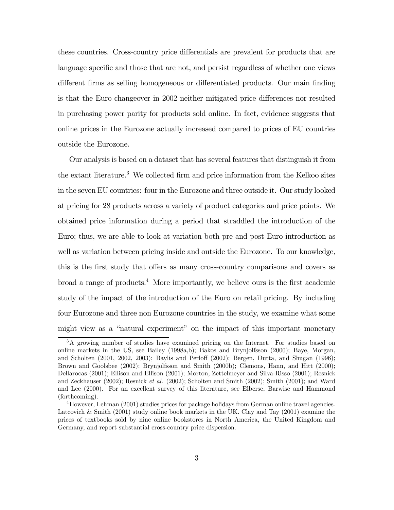these countries. Cross-country price differentials are prevalent for products that are language specific and those that are not, and persist regardless of whether one views different firms as selling homogeneous or differentiated products. Our main finding is that the Euro changeover in 2002 neither mitigated price differences nor resulted in purchasing power parity for products sold online. In fact, evidence suggests that online prices in the Eurozone actually increased compared to prices of EU countries outside the Eurozone.

Our analysis is based on a dataset that has several features that distinguish it from the extant literature.<sup>3</sup> We collected firm and price information from the Kelkoo sites in the seven EU countries: four in the Eurozone and three outside it. Our study looked at pricing for 28 products across a variety of product categories and price points. We obtained price information during a period that straddled the introduction of the Euro; thus, we are able to look at variation both pre and post Euro introduction as well as variation between pricing inside and outside the Eurozone. To our knowledge, this is the first study that offers as many cross-country comparisons and covers as broad a range of products.<sup>4</sup> More importantly, we believe ours is the first academic study of the impact of the introduction of the Euro on retail pricing. By including four Eurozone and three non Eurozone countries in the study, we examine what some might view as a "natural experiment" on the impact of this important monetary

<sup>3</sup>A growing number of studies have examined pricing on the Internet. For studies based on online markets in the US, see Bailey (1998a,b); Bakos and Brynjolfsson (2000); Baye, Morgan, and Scholten (2001, 2002, 2003); Baylis and Perloff (2002); Bergen, Dutta, and Shugan (1996); Brown and Goolsbee (2002); Brynjolfsson and Smith (2000b); Clemons, Hann, and Hitt (2000); Dellarocas (2001); Ellison and Ellison (2001); Morton, Zettelmeyer and Silva-Risso (2001); Resnick and Zeckhauser (2002); Resnick et al. (2002); Scholten and Smith (2002); Smith (2001); and Ward and Lee (2000). For an excellent survey of this literature, see Elberse, Barwise and Hammond (forthcoming).

 $^{4}$ However, Lehman (2001) studies prices for package holidays from German online travel agencies. Latcovich & Smith (2001) study online book markets in the UK. Clay and Tay (2001) examine the prices of textbooks sold by nine online bookstores in North America, the United Kingdom and Germany, and report substantial cross-country price dispersion.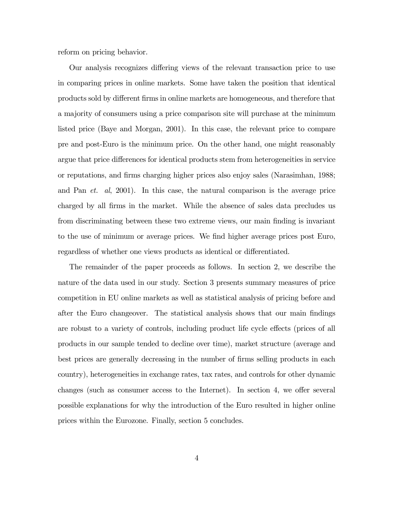reform on pricing behavior.

Our analysis recognizes differing views of the relevant transaction price to use in comparing prices in online markets. Some have taken the position that identical products sold by different firms in online markets are homogeneous, and therefore that a majority of consumers using a price comparison site will purchase at the minimum listed price (Baye and Morgan, 2001). In this case, the relevant price to compare pre and post-Euro is the minimum price. On the other hand, one might reasonably argue that price differences for identical products stem from heterogeneities in service or reputations, and firms charging higher prices also enjoy sales (Narasimhan, 1988; and Pan et. al, 2001). In this case, the natural comparison is the average price charged by all firms in the market. While the absence of sales data precludes us from discriminating between these two extreme views, our main finding is invariant to the use of minimum or average prices. We find higher average prices post Euro, regardless of whether one views products as identical or differentiated.

The remainder of the paper proceeds as follows. In section 2, we describe the nature of the data used in our study. Section 3 presents summary measures of price competition in EU online markets as well as statistical analysis of pricing before and after the Euro changeover. The statistical analysis shows that our main findings are robust to a variety of controls, including product life cycle effects (prices of all products in our sample tended to decline over time), market structure (average and best prices are generally decreasing in the number of firms selling products in each country), heterogeneities in exchange rates, tax rates, and controls for other dynamic changes (such as consumer access to the Internet). In section 4, we offer several possible explanations for why the introduction of the Euro resulted in higher online prices within the Eurozone. Finally, section 5 concludes.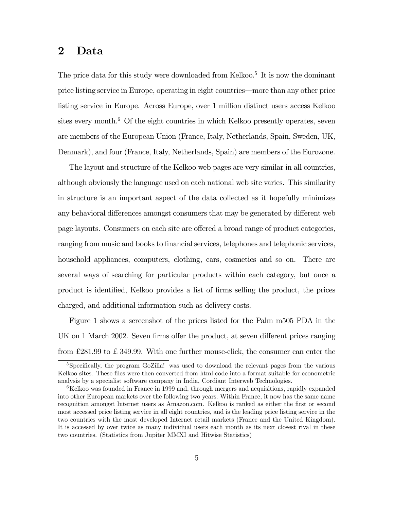### 2 Data

The price data for this study were downloaded from Kelkoo.<sup>5</sup> It is now the dominant price listing service in Europe, operating in eight countries–more than any other price listing service in Europe. Across Europe, over 1 million distinct users access Kelkoo sites every month. $6$  Of the eight countries in which Kelkoo presently operates, seven are members of the European Union (France, Italy, Netherlands, Spain, Sweden, UK, Denmark), and four (France, Italy, Netherlands, Spain) are members of the Eurozone.

The layout and structure of the Kelkoo web pages are very similar in all countries, although obviously the language used on each national web site varies. This similarity in structure is an important aspect of the data collected as it hopefully minimizes any behavioral differences amongst consumers that may be generated by different web page layouts. Consumers on each site are offered a broad range of product categories, ranging from music and books to financial services, telephones and telephonic services, household appliances, computers, clothing, cars, cosmetics and so on. There are several ways of searching for particular products within each category, but once a product is identified, Kelkoo provides a list of firms selling the product, the prices charged, and additional information such as delivery costs.

Figure 1 shows a screenshot of the prices listed for the Palm m505 PDA in the UK on 1 March 2002. Seven firms offer the product, at seven different prices ranging from £281.99 to £ 349.99. With one further mouse-click, the consumer can enter the

<sup>&</sup>lt;sup>5</sup>Specifically, the program GoZilla! was used to download the relevant pages from the various Kelkoo sites. These files were then converted from html code into a format suitable for econometric analysis by a specialist software company in India, Cordiant Interweb Technologies.

 $6$ Kelkoo was founded in France in 1999 and, through mergers and acquisitions, rapidly expanded into other European markets over the following two years. Within France, it now has the same name recognition amongst Internet users as Amazon.com. Kelkoo is ranked as either the first or second most accessed price listing service in all eight countries, and is the leading price listing service in the two countries with the most developed Internet retail markets (France and the United Kingdom). It is accessed by over twice as many individual users each month as its next closest rival in these two countries. (Statistics from Jupiter MMXI and Hitwise Statistics)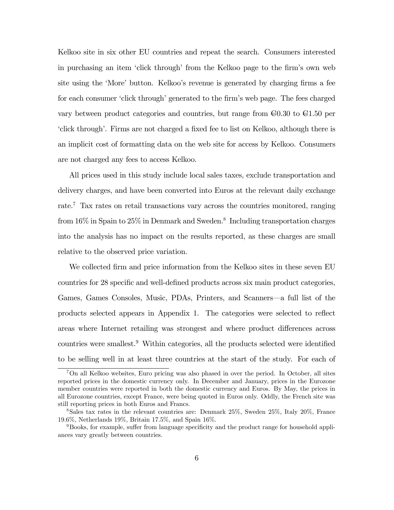Kelkoo site in six other EU countries and repeat the search. Consumers interested in purchasing an item 'click through' from the Kelkoo page to the firm's own web site using the 'More' button. Kelkoo's revenue is generated by charging firms a fee for each consumer 'click through' generated to the firm's web page. The fees charged vary between product categories and countries, but range from  $\epsilon 0.30$  to  $\epsilon 1.50$  per 'click through'. Firms are not charged a fixed fee to list on Kelkoo, although there is an implicit cost of formatting data on the web site for access by Kelkoo. Consumers are not charged any fees to access Kelkoo.

All prices used in this study include local sales taxes, exclude transportation and delivery charges, and have been converted into Euros at the relevant daily exchange rate.7 Tax rates on retail transactions vary across the countries monitored, ranging from  $16\%$  in Spain to  $25\%$  in Denmark and Sweden.<sup>8</sup> Including transportation charges into the analysis has no impact on the results reported, as these charges are small relative to the observed price variation.

We collected firm and price information from the Kelkoo sites in these seven EU countries for 28 specific and well-defined products across six main product categories, Games, Games Consoles, Music, PDAs, Printers, and Scanners–a full list of the products selected appears in Appendix 1. The categories were selected to reflect areas where Internet retailing was strongest and where product differences across countries were smallest.9 Within categories, all the products selected were identified to be selling well in at least three countries at the start of the study. For each of

<sup>7</sup>On all Kelkoo websites, Euro pricing was also phased in over the period. In October, all sites reported prices in the domestic currency only. In December and January, prices in the Eurozone member countries were reported in both the domestic currency and Euros. By May, the prices in all Eurozone countries, except France, were being quoted in Euros only. Oddly, the French site was still reporting prices in both Euros and Francs.

<sup>8</sup>Sales tax rates in the relevant countries are: Denmark 25%, Sweden 25%, Italy 20%, France 19.6%, Netherlands 19%, Britain 17.5%, and Spain 16%.

<sup>9</sup>Books, for example, suffer from language specificity and the product range for household appliances vary greatly between countries.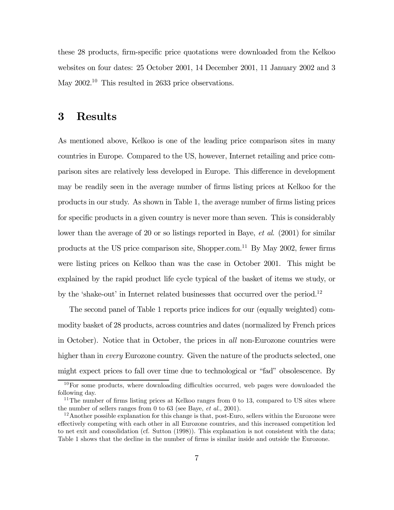these 28 products, firm-specific price quotations were downloaded from the Kelkoo websites on four dates: 25 October 2001, 14 December 2001, 11 January 2002 and 3 May 2002.<sup>10</sup> This resulted in 2633 price observations.

### 3 Results

As mentioned above, Kelkoo is one of the leading price comparison sites in many countries in Europe. Compared to the US, however, Internet retailing and price comparison sites are relatively less developed in Europe. This difference in development may be readily seen in the average number of firms listing prices at Kelkoo for the products in our study. As shown in Table 1, the average number of firms listing prices for specific products in a given country is never more than seven. This is considerably lower than the average of 20 or so listings reported in Baye, *et al.* (2001) for similar products at the US price comparison site, Shopper.com.11 By May 2002, fewer firms were listing prices on Kelkoo than was the case in October 2001. This might be explained by the rapid product life cycle typical of the basket of items we study, or by the 'shake-out' in Internet related businesses that occurred over the period.<sup>12</sup>

The second panel of Table 1 reports price indices for our (equally weighted) commodity basket of 28 products, across countries and dates (normalized by French prices in October). Notice that in October, the prices in all non-Eurozone countries were higher than in *every* Eurozone country. Given the nature of the products selected, one might expect prices to fall over time due to technological or "fad" obsolescence. By

 $10\,\text{For some products, where downloading difficulties occurred, web pages were downloaded the$ following day.

<sup>&</sup>lt;sup>11</sup>The number of firms listing prices at Kelkoo ranges from 0 to 13, compared to US sites where the number of sellers ranges from 0 to 63 (see Baye,  $et \ al.,\ 2001$ ).

 $12$ Another possible explanation for this change is that, post-Euro, sellers within the Eurozone were effectively competing with each other in all Eurozone countries, and this increased competition led to net exit and consolidation (cf. Sutton (1998)). This explanation is not consistent with the data; Table 1 shows that the decline in the number of firms is similar inside and outside the Eurozone.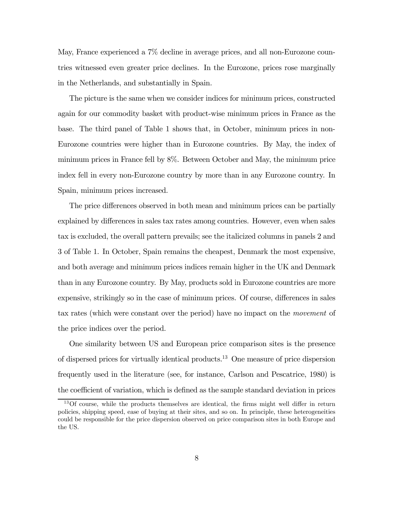May, France experienced a 7% decline in average prices, and all non-Eurozone countries witnessed even greater price declines. In the Eurozone, prices rose marginally in the Netherlands, and substantially in Spain.

The picture is the same when we consider indices for minimum prices, constructed again for our commodity basket with product-wise minimum prices in France as the base. The third panel of Table 1 shows that, in October, minimum prices in non-Eurozone countries were higher than in Eurozone countries. By May, the index of minimum prices in France fell by 8%. Between October and May, the minimum price index fell in every non-Eurozone country by more than in any Eurozone country. In Spain, minimum prices increased.

The price differences observed in both mean and minimum prices can be partially explained by differences in sales tax rates among countries. However, even when sales tax is excluded, the overall pattern prevails; see the italicized columns in panels 2 and 3 of Table 1. In October, Spain remains the cheapest, Denmark the most expensive, and both average and minimum prices indices remain higher in the UK and Denmark than in any Eurozone country. By May, products sold in Eurozone countries are more expensive, strikingly so in the case of minimum prices. Of course, differences in sales tax rates (which were constant over the period) have no impact on the movement of the price indices over the period.

One similarity between US and European price comparison sites is the presence of dispersed prices for virtually identical products.13 One measure of price dispersion frequently used in the literature (see, for instance, Carlson and Pescatrice, 1980) is the coefficient of variation, which is defined as the sample standard deviation in prices

<sup>&</sup>lt;sup>13</sup>Of course, while the products themselves are identical, the firms might well differ in return policies, shipping speed, ease of buying at their sites, and so on. In principle, these heterogeneities could be responsible for the price dispersion observed on price comparison sites in both Europe and the US.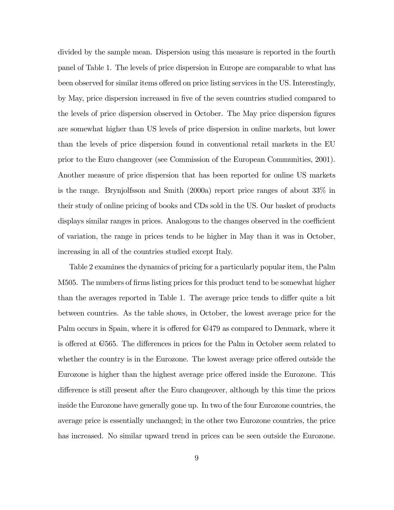divided by the sample mean. Dispersion using this measure is reported in the fourth panel of Table 1. The levels of price dispersion in Europe are comparable to what has been observed for similar items offered on price listing services in the US. Interestingly, by May, price dispersion increased in five of the seven countries studied compared to the levels of price dispersion observed in October. The May price dispersion figures are somewhat higher than US levels of price dispersion in online markets, but lower than the levels of price dispersion found in conventional retail markets in the EU prior to the Euro changeover (see Commission of the European Communities, 2001). Another measure of price dispersion that has been reported for online US markets is the range. Brynjolfsson and Smith (2000a) report price ranges of about 33% in their study of online pricing of books and CDs sold in the US. Our basket of products displays similar ranges in prices. Analogous to the changes observed in the coefficient of variation, the range in prices tends to be higher in May than it was in October, increasing in all of the countries studied except Italy.

Table 2 examines the dynamics of pricing for a particularly popular item, the Palm M505. The numbers of firms listing prices for this product tend to be somewhat higher than the averages reported in Table 1. The average price tends to differ quite a bit between countries. As the table shows, in October, the lowest average price for the Palm occurs in Spain, where it is offered for  $\epsilon$ 479 as compared to Denmark, where it is offered at  $\epsilon$ 565. The differences in prices for the Palm in October seem related to whether the country is in the Eurozone. The lowest average price offered outside the Eurozone is higher than the highest average price offered inside the Eurozone. This difference is still present after the Euro changeover, although by this time the prices inside the Eurozone have generally gone up. In two of the four Eurozone countries, the average price is essentially unchanged; in the other two Eurozone countries, the price has increased. No similar upward trend in prices can be seen outside the Eurozone.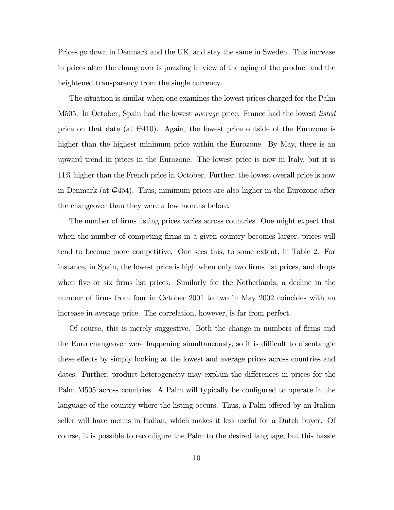Prices go down in Denmark and the UK, and stay the same in Sweden. This increase in prices after the changeover is puzzling in view of the aging of the product and the heightened transparency from the single currency.

The situation is similar when one examines the lowest prices charged for the Palm M505. In October, Spain had the lowest *average* price. France had the lowest *listed* price on that date (at  $\epsilon$ 410). Again, the lowest price outside of the Eurozone is higher than the highest minimum price within the Eurozone. By May, there is an upward trend in prices in the Eurozone. The lowest price is now in Italy, but it is 11% higher than the French price in October. Further, the lowest overall price is now in Denmark (at  $C=454$ ). Thus, minimum prices are also higher in the Eurozone after the changeover than they were a few months before.

The number of firms listing prices varies across countries. One might expect that when the number of competing firms in a given country becomes larger, prices will tend to become more competitive. One sees this, to some extent, in Table 2. For instance, in Spain, the lowest price is high when only two firms list prices, and drops when five or six firms list prices. Similarly for the Netherlands, a decline in the number of firms from four in October 2001 to two in May 2002 coincides with an increase in average price. The correlation, however, is far from perfect.

Of course, this is merely suggestive. Both the change in numbers of firms and the Euro changeover were happening simultaneously, so it is difficult to disentangle these effects by simply looking at the lowest and average prices across countries and dates. Further, product heterogeneity may explain the differences in prices for the Palm M505 across countries. A Palm will typically be configured to operate in the language of the country where the listing occurs. Thus, a Palm offered by an Italian seller will have menus in Italian, which makes it less useful for a Dutch buyer. Of course, it is possible to reconfigure the Palm to the desired language, but this hassle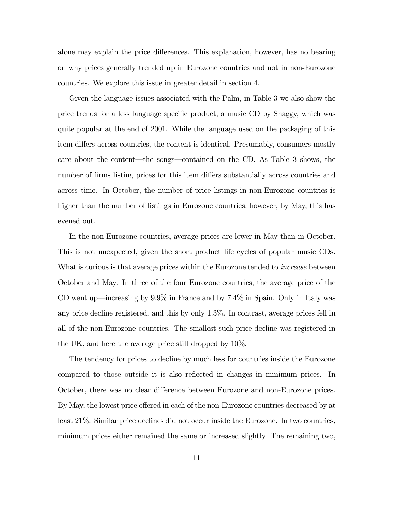alone may explain the price differences. This explanation, however, has no bearing on why prices generally trended up in Eurozone countries and not in non-Eurozone countries. We explore this issue in greater detail in section 4.

Given the language issues associated with the Palm, in Table 3 we also show the price trends for a less language specific product, a music CD by Shaggy, which was quite popular at the end of 2001. While the language used on the packaging of this item differs across countries, the content is identical. Presumably, consumers mostly care about the content–the songs–contained on the CD. As Table 3 shows, the number of firms listing prices for this item differs substantially across countries and across time. In October, the number of price listings in non-Eurozone countries is higher than the number of listings in Eurozone countries; however, by May, this has evened out.

In the non-Eurozone countries, average prices are lower in May than in October. This is not unexpected, given the short product life cycles of popular music CDs. What is curious is that average prices within the Eurozone tended to *increase* between October and May. In three of the four Eurozone countries, the average price of the CD went up–increasing by 9.9% in France and by 7.4% in Spain. Only in Italy was any price decline registered, and this by only 1.3%. In contrast, average prices fell in all of the non-Eurozone countries. The smallest such price decline was registered in the UK, and here the average price still dropped by 10%.

The tendency for prices to decline by much less for countries inside the Eurozone compared to those outside it is also reflected in changes in minimum prices. In October, there was no clear difference between Eurozone and non-Eurozone prices. By May, the lowest price offered in each of the non-Eurozone countries decreased by at least 21%. Similar price declines did not occur inside the Eurozone. In two countries, minimum prices either remained the same or increased slightly. The remaining two,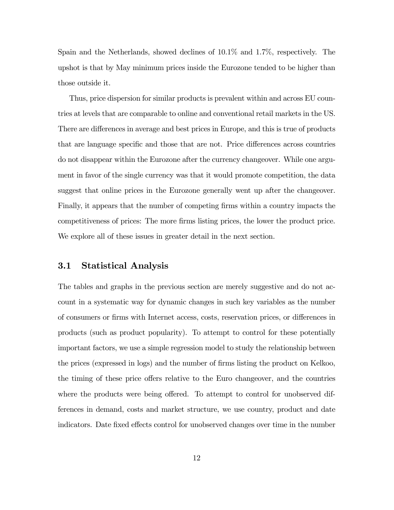Spain and the Netherlands, showed declines of 10.1% and 1.7%, respectively. The upshot is that by May minimum prices inside the Eurozone tended to be higher than those outside it.

Thus, price dispersion for similar products is prevalent within and across EU countries at levels that are comparable to online and conventional retail markets in the US. There are differences in average and best prices in Europe, and this is true of products that are language specific and those that are not. Price differences across countries do not disappear within the Eurozone after the currency changeover. While one argument in favor of the single currency was that it would promote competition, the data suggest that online prices in the Eurozone generally went up after the changeover. Finally, it appears that the number of competing firms within a country impacts the competitiveness of prices: The more firms listing prices, the lower the product price. We explore all of these issues in greater detail in the next section.

### 3.1 Statistical Analysis

The tables and graphs in the previous section are merely suggestive and do not account in a systematic way for dynamic changes in such key variables as the number of consumers or firms with Internet access, costs, reservation prices, or differences in products (such as product popularity). To attempt to control for these potentially important factors, we use a simple regression model to study the relationship between the prices (expressed in logs) and the number of firms listing the product on Kelkoo, the timing of these price offers relative to the Euro changeover, and the countries where the products were being offered. To attempt to control for unobserved differences in demand, costs and market structure, we use country, product and date indicators. Date fixed effects control for unobserved changes over time in the number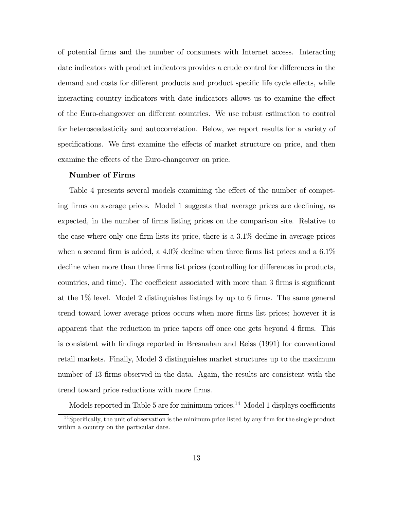of potential firms and the number of consumers with Internet access. Interacting date indicators with product indicators provides a crude control for differences in the demand and costs for different products and product specific life cycle effects, while interacting country indicators with date indicators allows us to examine the effect of the Euro-changeover on different countries. We use robust estimation to control for heteroscedasticity and autocorrelation. Below, we report results for a variety of specifications. We first examine the effects of market structure on price, and then examine the effects of the Euro-changeover on price.

#### Number of Firms

Table 4 presents several models examining the effect of the number of competing firms on average prices. Model 1 suggests that average prices are declining, as expected, in the number of firms listing prices on the comparison site. Relative to the case where only one firm lists its price, there is a 3.1% decline in average prices when a second firm is added, a  $4.0\%$  decline when three firms list prices and a  $6.1\%$ decline when more than three firms list prices (controlling for differences in products, countries, and time). The coefficient associated with more than 3 firms is significant at the 1% level. Model 2 distinguishes listings by up to 6 firms. The same general trend toward lower average prices occurs when more firms list prices; however it is apparent that the reduction in price tapers off once one gets beyond 4 firms. This is consistent with findings reported in Bresnahan and Reiss (1991) for conventional retail markets. Finally, Model 3 distinguishes market structures up to the maximum number of 13 firms observed in the data. Again, the results are consistent with the trend toward price reductions with more firms.

Models reported in Table 5 are for minimum prices.<sup>14</sup> Model 1 displays coefficients

<sup>&</sup>lt;sup>14</sup>Specifically, the unit of observation is the minimum price listed by any firm for the single product within a country on the particular date.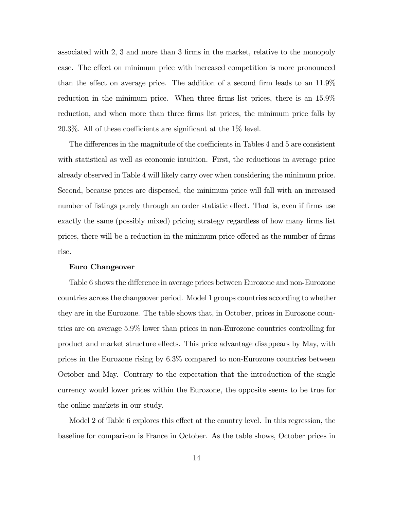associated with 2, 3 and more than 3 firms in the market, relative to the monopoly case. The effect on minimum price with increased competition is more pronounced than the effect on average price. The addition of a second firm leads to an 11.9% reduction in the minimum price. When three firms list prices, there is an 15.9% reduction, and when more than three firms list prices, the minimum price falls by 20.3%. All of these coefficients are significant at the 1% level.

The differences in the magnitude of the coefficients in Tables 4 and 5 are consistent with statistical as well as economic intuition. First, the reductions in average price already observed in Table 4 will likely carry over when considering the minimum price. Second, because prices are dispersed, the minimum price will fall with an increased number of listings purely through an order statistic effect. That is, even if firms use exactly the same (possibly mixed) pricing strategy regardless of how many firms list prices, there will be a reduction in the minimum price offered as the number of firms rise.

#### Euro Changeover

Table 6 shows the difference in average prices between Eurozone and non-Eurozone countries across the changeover period. Model 1 groups countries according to whether they are in the Eurozone. The table shows that, in October, prices in Eurozone countries are on average 5.9% lower than prices in non-Eurozone countries controlling for product and market structure effects. This price advantage disappears by May, with prices in the Eurozone rising by 6.3% compared to non-Eurozone countries between October and May. Contrary to the expectation that the introduction of the single currency would lower prices within the Eurozone, the opposite seems to be true for the online markets in our study.

Model 2 of Table 6 explores this effect at the country level. In this regression, the baseline for comparison is France in October. As the table shows, October prices in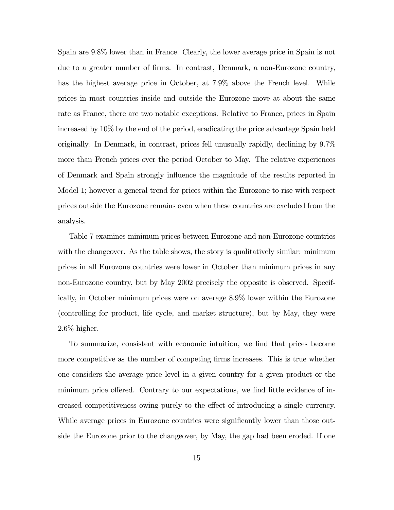Spain are 9.8% lower than in France. Clearly, the lower average price in Spain is not due to a greater number of firms. In contrast, Denmark, a non-Eurozone country, has the highest average price in October, at 7.9% above the French level. While prices in most countries inside and outside the Eurozone move at about the same rate as France, there are two notable exceptions. Relative to France, prices in Spain increased by 10% by the end of the period, eradicating the price advantage Spain held originally. In Denmark, in contrast, prices fell unusually rapidly, declining by 9.7% more than French prices over the period October to May. The relative experiences of Denmark and Spain strongly influence the magnitude of the results reported in Model 1; however a general trend for prices within the Eurozone to rise with respect prices outside the Eurozone remains even when these countries are excluded from the analysis.

Table 7 examines minimum prices between Eurozone and non-Eurozone countries with the changeover. As the table shows, the story is qualitatively similar: minimum prices in all Eurozone countries were lower in October than minimum prices in any non-Eurozone country, but by May 2002 precisely the opposite is observed. Specifically, in October minimum prices were on average 8.9% lower within the Eurozone (controlling for product, life cycle, and market structure), but by May, they were 2.6% higher.

To summarize, consistent with economic intuition, we find that prices become more competitive as the number of competing firms increases. This is true whether one considers the average price level in a given country for a given product or the minimum price offered. Contrary to our expectations, we find little evidence of increased competitiveness owing purely to the effect of introducing a single currency. While average prices in Eurozone countries were significantly lower than those outside the Eurozone prior to the changeover, by May, the gap had been eroded. If one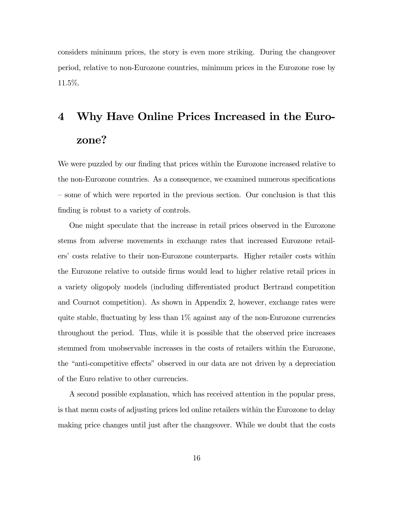considers minimum prices, the story is even more striking. During the changeover period, relative to non-Eurozone countries, minimum prices in the Eurozone rose by 11.5%.

# 4 Why Have Online Prices Increased in the Eurozone?

We were puzzled by our finding that prices within the Eurozone increased relative to the non-Eurozone countries. As a consequence, we examined numerous specifications — some of which were reported in the previous section. Our conclusion is that this finding is robust to a variety of controls.

One might speculate that the increase in retail prices observed in the Eurozone stems from adverse movements in exchange rates that increased Eurozone retailers' costs relative to their non-Eurozone counterparts. Higher retailer costs within the Eurozone relative to outside firms would lead to higher relative retail prices in a variety oligopoly models (including differentiated product Bertrand competition and Cournot competition). As shown in Appendix 2, however, exchange rates were quite stable, fluctuating by less than  $1\%$  against any of the non-Eurozone currencies throughout the period. Thus, while it is possible that the observed price increases stemmed from unobservable increases in the costs of retailers within the Eurozone, the "anti-competitive effects" observed in our data are not driven by a depreciation of the Euro relative to other currencies.

A second possible explanation, which has received attention in the popular press, is that menu costs of adjusting prices led online retailers within the Eurozone to delay making price changes until just after the changeover. While we doubt that the costs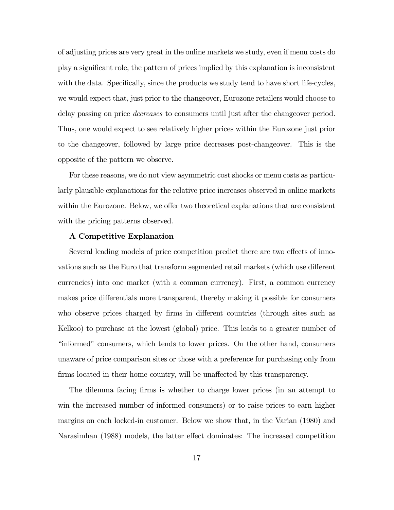of adjusting prices are very great in the online markets we study, even if menu costs do play a significant role, the pattern of prices implied by this explanation is inconsistent with the data. Specifically, since the products we study tend to have short life-cycles, we would expect that, just prior to the changeover, Eurozone retailers would choose to delay passing on price decreases to consumers until just after the changeover period. Thus, one would expect to see relatively higher prices within the Eurozone just prior to the changeover, followed by large price decreases post-changeover. This is the opposite of the pattern we observe.

For these reasons, we do not view asymmetric cost shocks or menu costs as particularly plausible explanations for the relative price increases observed in online markets within the Eurozone. Below, we offer two theoretical explanations that are consistent with the pricing patterns observed.

#### A Competitive Explanation

Several leading models of price competition predict there are two effects of innovations such as the Euro that transform segmented retail markets (which use different currencies) into one market (with a common currency). First, a common currency makes price differentials more transparent, thereby making it possible for consumers who observe prices charged by firms in different countries (through sites such as Kelkoo) to purchase at the lowest (global) price. This leads to a greater number of "informed" consumers, which tends to lower prices. On the other hand, consumers unaware of price comparison sites or those with a preference for purchasing only from firms located in their home country, will be unaffected by this transparency.

The dilemma facing firms is whether to charge lower prices (in an attempt to win the increased number of informed consumers) or to raise prices to earn higher margins on each locked-in customer. Below we show that, in the Varian (1980) and Narasimhan (1988) models, the latter effect dominates: The increased competition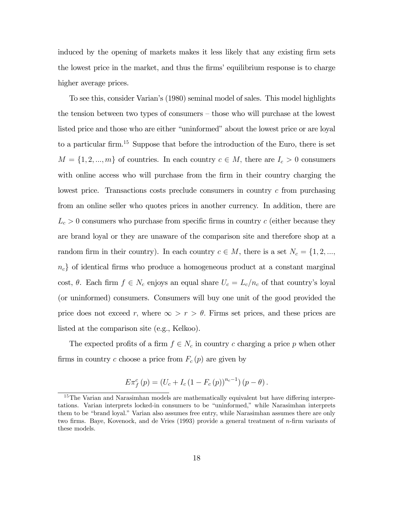induced by the opening of markets makes it less likely that any existing firm sets the lowest price in the market, and thus the firms' equilibrium response is to charge higher average prices.

To see this, consider Varian's (1980) seminal model of sales. This model highlights the tension between two types of consumers — those who will purchase at the lowest listed price and those who are either "uninformed" about the lowest price or are loyal to a particular firm.15 Suppose that before the introduction of the Euro, there is set  $M = \{1, 2, ..., m\}$  of countries. In each country  $c \in M$ , there are  $I_c > 0$  consumers with online access who will purchase from the firm in their country charging the lowest price. Transactions costs preclude consumers in country c from purchasing from an online seller who quotes prices in another currency. In addition, there are  $L_c > 0$  consumers who purchase from specific firms in country c (either because they are brand loyal or they are unaware of the comparison site and therefore shop at a random firm in their country). In each country  $c \in M$ , there is a set  $N_c = \{1, 2, ...,$  $n_c$  of identical firms who produce a homogeneous product at a constant marginal cost,  $\theta$ . Each firm  $f \in N_c$  enjoys an equal share  $U_c = L_c/n_c$  of that country's loyal (or uninformed) consumers. Consumers will buy one unit of the good provided the price does not exceed r, where  $\infty > r > \theta$ . Firms set prices, and these prices are listed at the comparison site (e.g., Kelkoo).

The expected profits of a firm  $f \in N_c$  in country c charging a price p when other firms in country c choose a price from  $F_c(p)$  are given by

$$
E\pi_f^c(p) = (U_c + I_c(1 - F_c(p))^{n_c - 1})(p - \theta).
$$

<sup>&</sup>lt;sup>15</sup>The Varian and Narasimhan models are mathematically equivalent but have differing interpretations. Varian interprets locked-in consumers to be "uninformed," while Narasimhan interprets them to be "brand loyal." Varian also assumes free entry, while Narasimhan assumes there are only two firms. Baye, Kovenock, and de Vries (1993) provide a general treatment of n-firm variants of these models.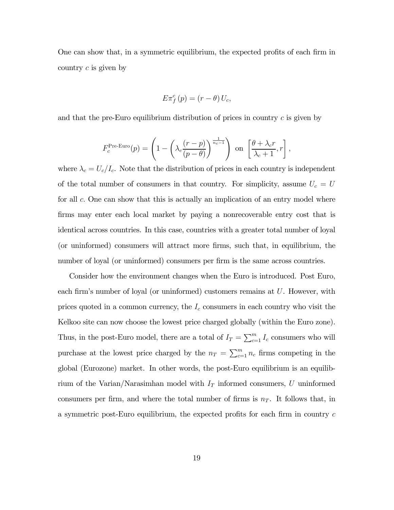One can show that, in a symmetric equilibrium, the expected profits of each firm in country c is given by

$$
E\pi_f^c(p) = (r - \theta) U_c,
$$

and that the pre-Euro equilibrium distribution of prices in country  $c$  is given by

$$
F_c^{\text{Pre-Euro}}(p) = \left(1 - \left(\lambda_c \frac{(r-p)}{(p-\theta)}\right)^{\frac{1}{n_c-1}}\right) \text{ on } \left[\frac{\theta + \lambda_c r}{\lambda_c + 1}, r\right],
$$

where  $\lambda_c = U_c/I_c$ . Note that the distribution of prices in each country is independent of the total number of consumers in that country. For simplicity, assume  $U_c = U$ for all c. One can show that this is actually an implication of an entry model where firms may enter each local market by paying a nonrecoverable entry cost that is identical across countries. In this case, countries with a greater total number of loyal (or uninformed) consumers will attract more firms, such that, in equilibrium, the number of loyal (or uninformed) consumers per firm is the same across countries.

Consider how the environment changes when the Euro is introduced. Post Euro, each firm's number of loyal (or uninformed) customers remains at U. However, with prices quoted in a common currency, the  $I_c$  consumers in each country who visit the Kelkoo site can now choose the lowest price charged globally (within the Euro zone). Thus, in the post-Euro model, there are a total of  $I_T = \sum_{c=1}^{m} I_c$  consumers who will purchase at the lowest price charged by the  $n_T = \sum_{c=1}^{m} n_c$  firms competing in the global (Eurozone) market. In other words, the post-Euro equilibrium is an equilibrium of the Varian/Narasimhan model with  $I<sub>T</sub>$  informed consumers, U uninformed consumers per firm, and where the total number of firms is  $n<sub>T</sub>$ . It follows that, in a symmetric post-Euro equilibrium, the expected profits for each firm in country  $c$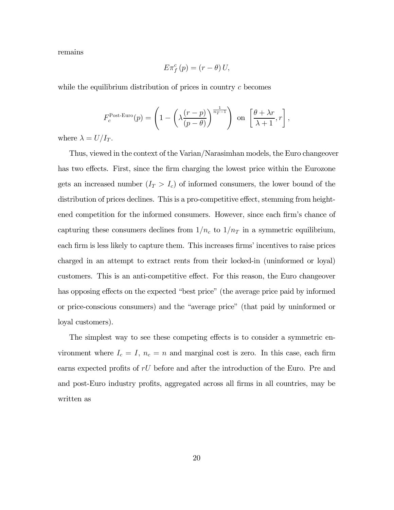remains

$$
E\pi_f^c(p) = (r - \theta) U,
$$

while the equilibrium distribution of prices in country  $c$  becomes

$$
F_c^{\text{Post-Euro}}(p) = \left(1 - \left(\lambda \frac{(r-p)}{(p-\theta)}\right)^{\frac{1}{n_T-1}}\right) \text{ on } \left[\frac{\theta + \lambda r}{\lambda + 1}, r\right],
$$

where  $\lambda = U/I_T$ .

Thus, viewed in the context of the Varian/Narasimhan models, the Euro changeover has two effects. First, since the firm charging the lowest price within the Eurozone gets an increased number  $(I_T > I_c)$  of informed consumers, the lower bound of the distribution of prices declines. This is a pro-competitive effect, stemming from heightened competition for the informed consumers. However, since each firm's chance of capturing these consumers declines from  $1/n_c$  to  $1/n_T$  in a symmetric equilibrium, each firm is less likely to capture them. This increases firms' incentives to raise prices charged in an attempt to extract rents from their locked-in (uninformed or loyal) customers. This is an anti-competitive effect. For this reason, the Euro changeover has opposing effects on the expected "best price" (the average price paid by informed or price-conscious consumers) and the "average price" (that paid by uninformed or loyal customers).

The simplest way to see these competing effects is to consider a symmetric environment where  $I_c = I$ ,  $n_c = n$  and marginal cost is zero. In this case, each firm earns expected profits of  $rU$  before and after the introduction of the Euro. Pre and and post-Euro industry profits, aggregated across all firms in all countries, may be written as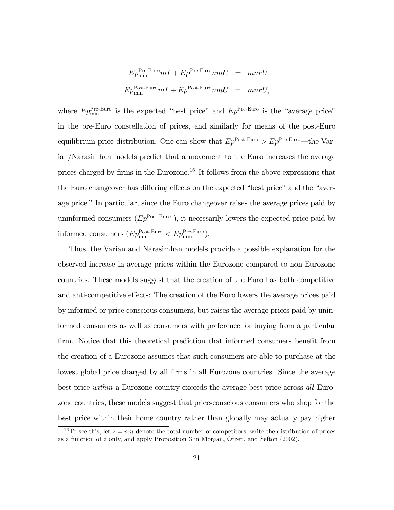$$
Ep_{\min}^{\text{Pre-Euro}} mI + Ep^{\text{Pre-Euro}} n mU = mnrU
$$
  

$$
Ep_{\min}^{\text{Post-Euro}} mI + Ep^{\text{Post-Euro}} n mU = mnrU,
$$

where  $Ep_{\min}^{\text{Pre-Euro}}$  is the expected "best price" and  $Ep^{\text{Pre-Euro}}$  is the "average price" in the pre-Euro constellation of prices, and similarly for means of the post-Euro equilibrium price distribution. One can show that  $Ep^{\text{Post-Euro}} > Ep^{\text{Pre-Euro}}$ —the Varian/Narasimhan models predict that a movement to the Euro increases the average prices charged by firms in the Eurozone.16 It follows from the above expressions that the Euro changeover has differing effects on the expected "best price" and the "average price." In particular, since the Euro changeover raises the average prices paid by uninformed consumers  $(Ep^{\text{Post-Euro}})$ , it necessarily lowers the expected price paid by informed consumers  $(Ep_{\min}^{\text{Post-Euro}} < Ep_{\min}^{\text{Pre-Euro}})$ .

Thus, the Varian and Narasimhan models provide a possible explanation for the observed increase in average prices within the Eurozone compared to non-Eurozone countries. These models suggest that the creation of the Euro has both competitive and anti-competitive effects: The creation of the Euro lowers the average prices paid by informed or price conscious consumers, but raises the average prices paid by uninformed consumers as well as consumers with preference for buying from a particular firm. Notice that this theoretical prediction that informed consumers benefit from the creation of a Eurozone assumes that such consumers are able to purchase at the lowest global price charged by all firms in all Eurozone countries. Since the average best price within a Eurozone country exceeds the average best price across all Eurozone countries, these models suggest that price-conscious consumers who shop for the best price within their home country rather than globally may actually pay higher

<sup>&</sup>lt;sup>16</sup>To see this, let  $z = nm$  denote the total number of competitors, write the distribution of prices as a function of z only, and apply Proposition 3 in Morgan, Orzen, and Sefton (2002).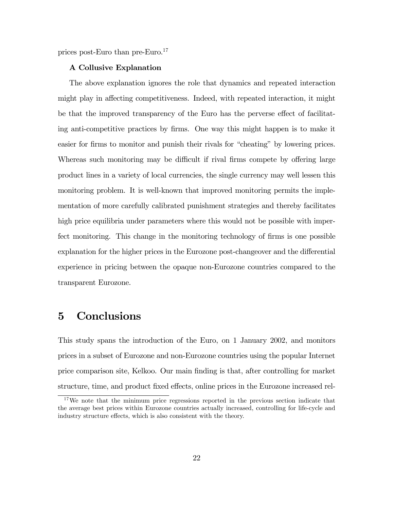prices post-Euro than pre-Euro.<sup>17</sup>

#### A Collusive Explanation

The above explanation ignores the role that dynamics and repeated interaction might play in affecting competitiveness. Indeed, with repeated interaction, it might be that the improved transparency of the Euro has the perverse effect of facilitating anti-competitive practices by firms. One way this might happen is to make it easier for firms to monitor and punish their rivals for "cheating" by lowering prices. Whereas such monitoring may be difficult if rival firms compete by offering large product lines in a variety of local currencies, the single currency may well lessen this monitoring problem. It is well-known that improved monitoring permits the implementation of more carefully calibrated punishment strategies and thereby facilitates high price equilibria under parameters where this would not be possible with imperfect monitoring. This change in the monitoring technology of firms is one possible explanation for the higher prices in the Eurozone post-changeover and the differential experience in pricing between the opaque non-Eurozone countries compared to the transparent Eurozone.

### 5 Conclusions

This study spans the introduction of the Euro, on 1 January 2002, and monitors prices in a subset of Eurozone and non-Eurozone countries using the popular Internet price comparison site, Kelkoo. Our main finding is that, after controlling for market structure, time, and product fixed effects, online prices in the Eurozone increased rel-

<sup>&</sup>lt;sup>17</sup>We note that the minimum price regressions reported in the previous section indicate that the average best prices within Eurozone countries actually increased, controlling for life-cycle and industry structure effects, which is also consistent with the theory.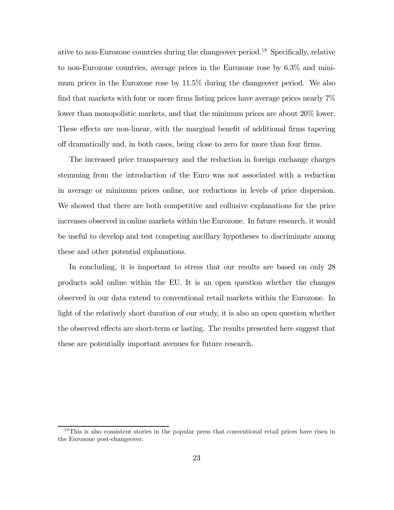ative to non-Eurozone countries during the changeover period.<sup>18</sup> Specifically, relative to non-Eurozone countries, average prices in the Eurozone rose by 6.3% and minimum prices in the Eurozone rose by 11.5% during the changeover period. We also find that markets with four or more firms listing prices have average prices nearly 7% lower than monopolistic markets, and that the minimum prices are about 20% lower. These effects are non-linear, with the marginal benefit of additional firms tapering off dramatically and, in both cases, being close to zero for more than four firms.

The increased price transparency and the reduction in foreign exchange charges stemming from the introduction of the Euro was not associated with a reduction in average or minimum prices online, nor reductions in levels of price dispersion. We showed that there are both competitive and collusive explanations for the price increases observed in online markets within the Eurozone. In future research, it would be useful to develop and test competing ancillary hypotheses to discriminate among these and other potential explanations.

In concluding, it is important to stress that our results are based on only 28 products sold online within the EU. It is an open question whether the changes observed in our data extend to conventional retail markets within the Eurozone. In light of the relatively short duration of our study, it is also an open question whether the observed effects are short-term or lasting. The results presented here suggest that these are potentially important avenues for future research.

<sup>18</sup>This is also consistent stories in the popular press that conventional retail prices have risen in the Eurozone post-changeover.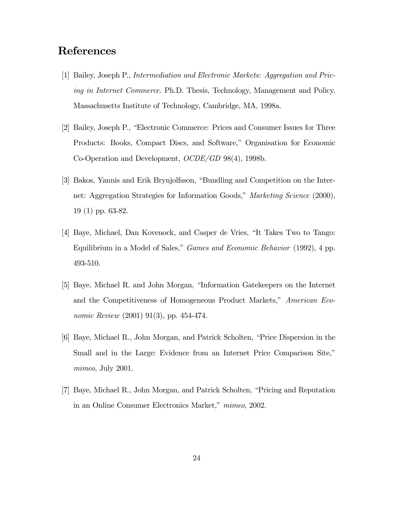### References

- [1] Bailey, Joseph P., Intermediation and Electronic Markets: Aggregation and Pricing in Internet Commerce. Ph.D. Thesis, Technology, Management and Policy, Massachusetts Institute of Technology, Cambridge, MA, 1998a.
- [2] Bailey, Joseph P., "Electronic Commerce: Prices and Consumer Issues for Three Products: Books, Compact Discs, and Software," Organisation for Economic Co-Operation and Development, OCDE/GD 98(4), 1998b.
- [3] Bakos, Yannis and Erik Brynjolfsson, "Bundling and Competition on the Internet: Aggregation Strategies for Information Goods," Marketing Science (2000), 19 (1) pp. 63-82.
- [4] Baye, Michael, Dan Kovenock, and Casper de Vries, "It Takes Two to Tango: Equilibrium in a Model of Sales," Games and Economic Behavior (1992), 4 pp. 493-510.
- [5] Baye, Michael R. and John Morgan, "Information Gatekeepers on the Internet and the Competitiveness of Homogeneous Product Markets," American Economic Review (2001) 91(3), pp. 454-474.
- [6] Baye, Michael R., John Morgan, and Patrick Scholten, "Price Dispersion in the Small and in the Large: Evidence from an Internet Price Comparison Site," mimeo, July 2001.
- [7] Baye, Michael R., John Morgan, and Patrick Scholten, "Pricing and Reputation in an Online Consumer Electronics Market," mimeo, 2002.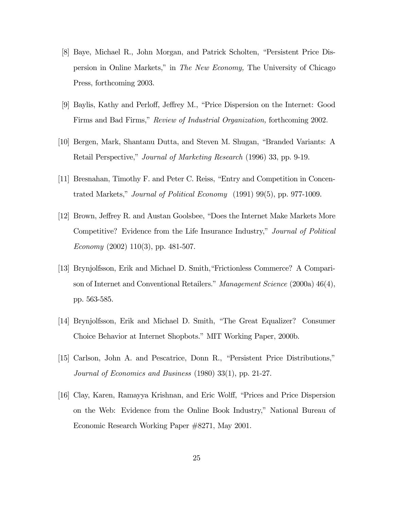- [8] Baye, Michael R., John Morgan, and Patrick Scholten, "Persistent Price Dispersion in Online Markets," in The New Economy, The University of Chicago Press, forthcoming 2003.
- [9] Baylis, Kathy and Perloff, Jeffrey M., "Price Dispersion on the Internet: Good Firms and Bad Firms," Review of Industrial Organization, forthcoming 2002.
- [10] Bergen, Mark, Shantanu Dutta, and Steven M. Shugan, "Branded Variants: A Retail Perspective," Journal of Marketing Research (1996) 33, pp. 9-19.
- [11] Bresnahan, Timothy F. and Peter C. Reiss, "Entry and Competition in Concentrated Markets," Journal of Political Economy (1991) 99(5), pp. 977-1009.
- [12] Brown, Jeffrey R. and Austan Goolsbee, "Does the Internet Make Markets More Competitive? Evidence from the Life Insurance Industry," Journal of Political Economy  $(2002)$  110 $(3)$ , pp. 481-507.
- [13] Brynjolfsson, Erik and Michael D. Smith,"Frictionless Commerce? A Comparison of Internet and Conventional Retailers." Management Science (2000a) 46(4), pp. 563-585.
- [14] Brynjolfsson, Erik and Michael D. Smith, "The Great Equalizer? Consumer Choice Behavior at Internet Shopbots." MIT Working Paper, 2000b.
- [15] Carlson, John A. and Pescatrice, Donn R., "Persistent Price Distributions," Journal of Economics and Business (1980) 33(1), pp. 21-27.
- [16] Clay, Karen, Ramayya Krishnan, and Eric Wolff, "Prices and Price Dispersion on the Web: Evidence from the Online Book Industry," National Bureau of Economic Research Working Paper #8271, May 2001.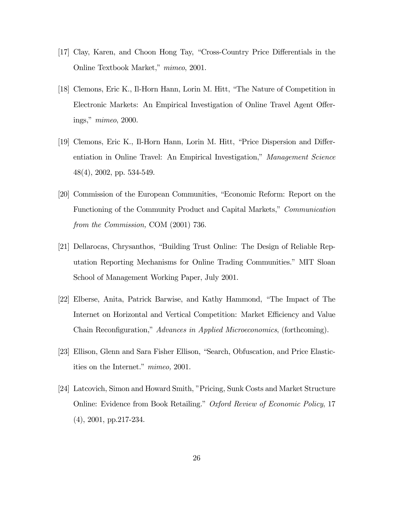- [17] Clay, Karen, and Choon Hong Tay, "Cross-Country Price Differentials in the Online Textbook Market," mimeo, 2001.
- [18] Clemons, Eric K., Il-Horn Hann, Lorin M. Hitt, "The Nature of Competition in Electronic Markets: An Empirical Investigation of Online Travel Agent Offerings," mimeo, 2000.
- [19] Clemons, Eric K., Il-Horn Hann, Lorin M. Hitt, "Price Dispersion and Differentiation in Online Travel: An Empirical Investigation," Management Science 48(4), 2002, pp. 534-549.
- [20] Commission of the European Communities, "Economic Reform: Report on the Functioning of the Community Product and Capital Markets," Communication from the Commission, COM (2001) 736.
- [21] Dellarocas, Chrysanthos, "Building Trust Online: The Design of Reliable Reputation Reporting Mechanisms for Online Trading Communities." MIT Sloan School of Management Working Paper, July 2001.
- [22] Elberse, Anita, Patrick Barwise, and Kathy Hammond, "The Impact of The Internet on Horizontal and Vertical Competition: Market Efficiency and Value Chain Reconfiguration," Advances in Applied Microeconomics, (forthcoming).
- [23] Ellison, Glenn and Sara Fisher Ellison, "Search, Obfuscation, and Price Elasticities on the Internet." mimeo, 2001.
- [24] Latcovich, Simon and Howard Smith, "Pricing, Sunk Costs and Market Structure Online: Evidence from Book Retailing." Oxford Review of Economic Policy, 17 (4), 2001, pp.217-234.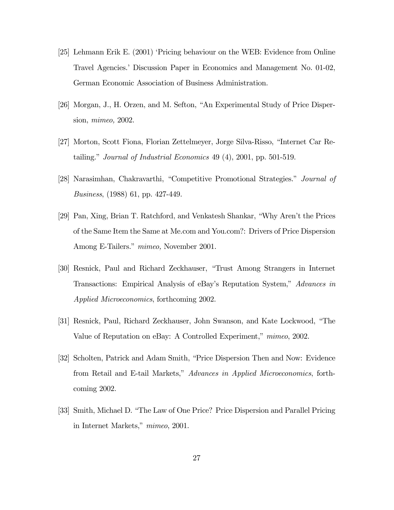- [25] Lehmann Erik E. (2001) 'Pricing behaviour on the WEB: Evidence from Online Travel Agencies.' Discussion Paper in Economics and Management No. 01-02, German Economic Association of Business Administration.
- [26] Morgan, J., H. Orzen, and M. Sefton, "An Experimental Study of Price Dispersion, mimeo, 2002.
- [27] Morton, Scott Fiona, Florian Zettelmeyer, Jorge Silva-Risso, "Internet Car Retailing." Journal of Industrial Economics 49 (4), 2001, pp. 501-519.
- [28] Narasimhan, Chakravarthi, "Competitive Promotional Strategies." Journal of Business, (1988) 61, pp. 427-449.
- [29] Pan, Xing, Brian T. Ratchford, and Venkatesh Shankar, "Why Aren't the Prices of the Same Item the Same at Me.com and You.com?: Drivers of Price Dispersion Among E-Tailers." mimeo, November 2001.
- [30] Resnick, Paul and Richard Zeckhauser, "Trust Among Strangers in Internet Transactions: Empirical Analysis of eBay's Reputation System," Advances in Applied Microeconomics, forthcoming 2002.
- [31] Resnick, Paul, Richard Zeckhauser, John Swanson, and Kate Lockwood, "The Value of Reputation on eBay: A Controlled Experiment," mimeo, 2002.
- [32] Scholten, Patrick and Adam Smith, "Price Dispersion Then and Now: Evidence from Retail and E-tail Markets," Advances in Applied Microeconomics, forthcoming 2002.
- [33] Smith, Michael D. "The Law of One Price? Price Dispersion and Parallel Pricing in Internet Markets," mimeo, 2001.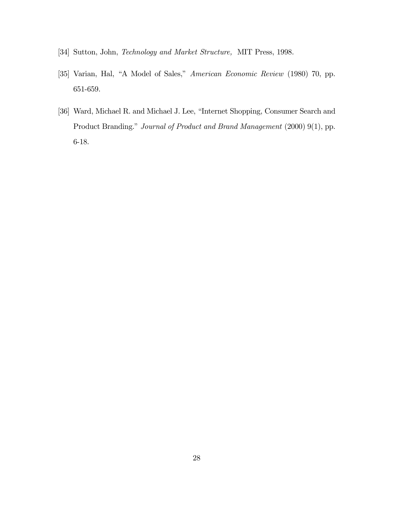- [34] Sutton, John, Technology and Market Structure, MIT Press, 1998.
- [35] Varian, Hal, "A Model of Sales," American Economic Review (1980) 70, pp. 651-659.
- [36] Ward, Michael R. and Michael J. Lee, "Internet Shopping, Consumer Search and Product Branding." Journal of Product and Brand Management (2000) 9(1), pp. 6-18.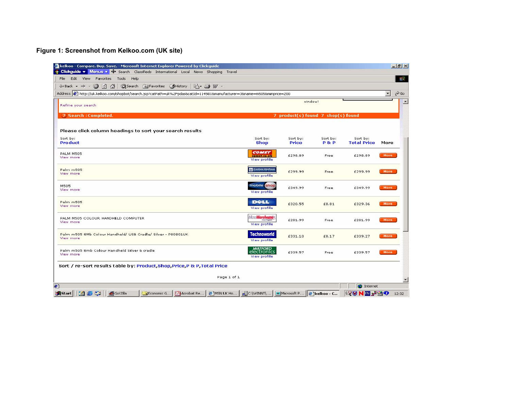### **Figure 1: Screenshot from Kelkoo.com (UK site)**

| Edit View Favorites Tools Help<br>$\leftarrow$ Back $\rightarrow$ $\rightarrow$ $\odot$ $\circ$<br>$\bigcirc$<br>Search & Favorites SHistory<br>$\mathbb{R}$ - $\oplus$ $\mathbb{V}$ - |                                                       |                                    |                            |                                |                     | 明        |
|----------------------------------------------------------------------------------------------------------------------------------------------------------------------------------------|-------------------------------------------------------|------------------------------------|----------------------------|--------------------------------|---------------------|----------|
| Address $\circledast$ http://uk.kelkoo.com/shopbot/search.jsp?catPath=uk%2Fpdas&catId=114501&manufacturer=3&name=m505&minprice=200                                                     |                                                       |                                    |                            |                                | $\vert \cdot \vert$ | $\alpha$ |
| Refine your search                                                                                                                                                                     |                                                       | window!                            |                            |                                |                     |          |
| ? Search : Completed.                                                                                                                                                                  |                                                       | 7 product(s) found 7 shop(s) found |                            |                                |                     |          |
| Please click column headings to sort your search results                                                                                                                               |                                                       |                                    |                            |                                |                     |          |
| Sort by:<br><b>Product</b>                                                                                                                                                             | Sort by:<br><b>Shop</b>                               | Sort by:<br><b>Price</b>           | Sort by:<br><b>P&amp;P</b> | Sort by:<br><b>Total Price</b> | More                |          |
| PALM M505<br>View more                                                                                                                                                                 | <b>COMET</b><br>comet.co.uk<br>View profile           | £298.89                            | Free                       | £298.89                        | More                |          |
| Palm m505<br>View more                                                                                                                                                                 | Carphone Warehouse<br>View profile                    | £299.99                            | Free                       | £299.99                        | More                |          |
| M505<br>View more                                                                                                                                                                      | mobile shop<br>View profile                           | £349.99                            | Free                       | £349.99                        | More                |          |
| Palm m505<br>View more                                                                                                                                                                 | <b>D</b> ELL<br>View profile                          | £320.55                            | £8.81                      | £329.36                        | More                |          |
| PALM M505 COLOUR HANDHELD COMPUTER<br>View more                                                                                                                                        | Micro Warehouse<br><b>Detect Copy</b><br>View profile | £281.99                            | Free                       | £281.99                        | More                |          |
| Palm m505 8Mb Colour Handheld/ USB Cradle/ Silver - P80801UK<br>View more                                                                                                              | <b>Technoworld</b><br>View profile                    | £331.10                            | £8.17                      | £339.27                        | More                |          |
| Palm m505 8mb Colour Handheld Silver & cradle<br>View more                                                                                                                             | <b>WATFORD</b><br>electronics<br>View profile         | £339.57                            | Free                       | £339.57                        | More                |          |
| Sort / re-sort results table by: Product, Shop, Price, P & P, Total Price                                                                                                              |                                                       |                                    |                            |                                |                     |          |
|                                                                                                                                                                                        | Page 1 of 1                                           |                                    |                            |                                |                     |          |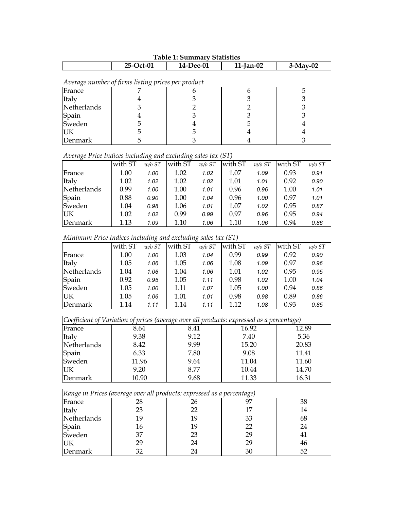| Taple 1: Summary Statistics                        |             |           |              |            |  |  |  |  |  |
|----------------------------------------------------|-------------|-----------|--------------|------------|--|--|--|--|--|
|                                                    | $25-Oct-01$ | 14-Dec-01 | $11$ -Jan-02 | $3-Mav-02$ |  |  |  |  |  |
| Average number of firms listing prices per product |             |           |              |            |  |  |  |  |  |
| France                                             |             |           |              |            |  |  |  |  |  |
| Italy                                              |             |           |              |            |  |  |  |  |  |
| Netherlands                                        |             |           |              |            |  |  |  |  |  |
| Spain                                              |             |           |              |            |  |  |  |  |  |
| Sweden                                             |             |           | ל            |            |  |  |  |  |  |
| UK                                                 |             |           |              |            |  |  |  |  |  |
| Denmark                                            |             |           |              |            |  |  |  |  |  |

### **Table 1: Summary Statistics**

### *Average Price Indices including and excluding sales tax (ST)*

| $\lambda$   |         | $\cdot$   |         |            |         |          |         |          |
|-------------|---------|-----------|---------|------------|---------|----------|---------|----------|
|             | with ST | $w$ /o ST | with ST | $w/o$ $ST$ | with ST | $w/o$ ST | with ST | $w/o$ ST |
| France      | 1.00    | 1.00      | 1.02    | 1.02       | 1.07    | 1.09     | 0.93    | 0.91     |
| Italy       | 1.02    | 1.02      | 1.02    | 1.02       | 1.01    | 1.01     | 0.92    | 0.90     |
| Netherlands | 0.99    | 1.00      | 1.00    | 1.01       | 0.96    | 0.96     | 1.00    | 1.01     |
| Spain       | 0.88    | 0.90      | 1.00    | 1.04       | 0.96    | 1.00     | 0.97    | 1.01     |
| Sweden      | 1.04    | 0.98      | 1.06    | 1.01       | 1.07    | 1.02     | 0.95    | 0.87     |
| UK          | 1.02    | 1.02      | 0.99    | 0.99       | 0.97    | 0.96     | 0.95    | 0.94     |
| Denmark     | 1.13    | 1.09      | 1.10    | 1.06       | 1.10    | 1.06     | 0.94    | 0.86     |

### *Minimum Price Indices including and excluding sales tax (ST)*

|             | with ST | $w/o$ $ST$ | with ST | $w/o$ $ST$ | with ST | $w/o$ $ST$ | with ST | $w/o$ $ST$ |
|-------------|---------|------------|---------|------------|---------|------------|---------|------------|
| France      | 1.00    | 1.00       | 1.03    | 1.04       | 0.99    | 0.99       | 0.92    | 0.90       |
| Italy       | 1.05    | 1.06       | 1.05    | 1.06       | 1.08    | 1.09       | 0.97    | 0.96       |
| Netherlands | 1.04    | 1.06       | 1.04    | 1.06       | 1.01    | 1.02       | 0.95    | 0.95       |
| Spain       | 0.92    | 0.95       | 1.05    | 1.11       | 0.98    | 1.02       | 1.00    | 1.04       |
| Sweden      | 1.05    | 1.00       | 1.11    | 1.07       | 1.05    | 1.00       | 0.94    | 0.86       |
| UK          | 1.05    | 1.06       | 1.01    | 1.01       | 0.98    | 0.98       | 0.89    | 0.86       |
| Denmark     | 1.14    | 1.11       | 1.14    | 1.11       | 1.12    | 1.08       | 0.93    | 0.85       |

*Coefficient of Variation of prices (average over all products: expressed as a percentage)*

| France      | 8.64  | 8.41 | 16.92 | 12.89 |
|-------------|-------|------|-------|-------|
| Italy       | 9.38  | 9.12 | 7.40  | 5.36  |
| Netherlands | 8.42  | 9.99 | 15.20 | 20.83 |
| Spain       | 6.33  | 7.80 | 9.08  | 11.41 |
| Sweden      | 11.96 | 9.64 | 11.04 | 11.60 |
| UK          | 9.20  | 8.77 | 10.44 | 14.70 |
| Denmark     | 10.90 | 9.68 | 11.33 | 16.31 |

### *Range in Prices (average over all products: expressed as a percentage)*

| $\sim$          | $\tilde{\phantom{a}}$<br>. . | . . | $\tilde{}$ |                |
|-----------------|------------------------------|-----|------------|----------------|
| France          |                              | 26  | ∩⊓         | 38             |
| Italy           | 23                           | フフ  |            | 14             |
| Netherlands     | 19                           | 19  | 33         | 68             |
| Spain<br>Sweden | 16                           | 19  | 22         | 24             |
|                 | 37                           | 23  | 29         | 4 <sub>1</sub> |
| UK              | 29                           | 24  | 29         | 46             |
| Denmark         |                              | 24  | 30         |                |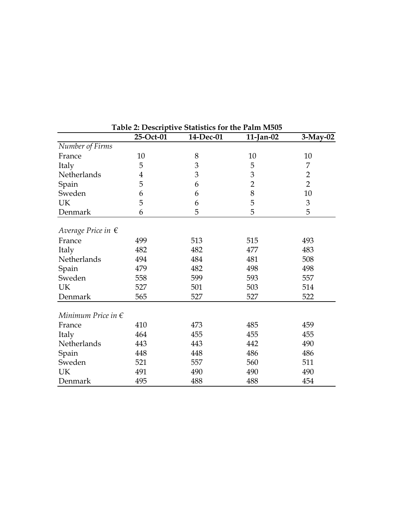|                             | Table 2: Descriptive Statistics for the Palm M505 |           |                |                |  |  |  |  |
|-----------------------------|---------------------------------------------------|-----------|----------------|----------------|--|--|--|--|
|                             | 25-Oct-01                                         | 14-Dec-01 | $11$ -Jan-02   | $3-May-02$     |  |  |  |  |
| Number of Firms             |                                                   |           |                |                |  |  |  |  |
| France                      | 10                                                | 8         | 10             | 10             |  |  |  |  |
| Italy                       | 5                                                 | 3         | 5              | 7              |  |  |  |  |
| Netherlands                 | $\overline{4}$                                    | 3         | 3              | $\overline{2}$ |  |  |  |  |
| Spain                       | 5                                                 | 6         | $\overline{2}$ | $\overline{2}$ |  |  |  |  |
| Sweden                      | 6                                                 | 6         | 8              | 10             |  |  |  |  |
| UK                          | 5                                                 | 6         | 5              | 3              |  |  |  |  |
| Denmark                     | 6                                                 | 5         | 5              | 5              |  |  |  |  |
| Average Price in $\epsilon$ |                                                   |           |                |                |  |  |  |  |
| France                      | 499                                               | 513       | 515            | 493            |  |  |  |  |
| Italy                       | 482                                               | 482       | 477            | 483            |  |  |  |  |
| Netherlands                 | 494                                               | 484       | 481            | 508            |  |  |  |  |
| Spain                       | 479                                               | 482       | 498            | 498            |  |  |  |  |
| Sweden                      | 558                                               | 599       | 593            | 557            |  |  |  |  |
| <b>UK</b>                   | 527                                               | 501       | 503            | 514            |  |  |  |  |
| Denmark                     | 565                                               | 527       | 527            | 522            |  |  |  |  |
| Minimum Price in $\epsilon$ |                                                   |           |                |                |  |  |  |  |
| France                      | 410                                               | 473       | 485            | 459            |  |  |  |  |
| Italy                       | 464                                               | 455       | 455            | 455            |  |  |  |  |
| Netherlands                 | 443                                               | 443       | 442            | 490            |  |  |  |  |
| Spain                       | 448                                               | 448       | 486            | 486            |  |  |  |  |
| Sweden                      | 521                                               | 557       | 560            | 511            |  |  |  |  |
| <b>UK</b>                   | 491                                               | 490       | 490            | 490            |  |  |  |  |
| Denmark                     | 495                                               | 488       | 488            | 454            |  |  |  |  |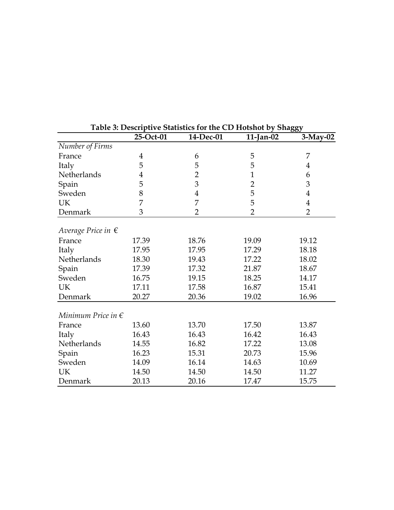|                                       | 25-Oct-01      | 14-Dec-01      | Table 9. Descriptive blatistics for the CD Hotshot by Unaggy<br>$11$ -Jan-02 | $3-May-02$     |
|---------------------------------------|----------------|----------------|------------------------------------------------------------------------------|----------------|
| Number of Firms                       |                |                |                                                                              |                |
| France                                | $\overline{4}$ | 6              | 5                                                                            | 7              |
| Italy                                 | 5              | 5              | 5                                                                            | $\overline{4}$ |
| Netherlands                           | 4              | $\overline{2}$ | $\mathbf{1}$                                                                 | 6              |
| Spain                                 | 5              | 3              | $\overline{2}$                                                               | 3              |
| Sweden                                | 8              | $\overline{4}$ | 5                                                                            | $\overline{4}$ |
| UK                                    | 7              | 7              | 5                                                                            | $\overline{4}$ |
| Denmark                               | 3              | $\overline{2}$ | $\overline{2}$                                                               | $\overline{2}$ |
|                                       |                |                |                                                                              |                |
| Average Price in $\epsilon$<br>France | 17.39          | 18.76          | 19.09                                                                        | 19.12          |
|                                       | 17.95          | 17.95          | 17.29                                                                        |                |
| Italy                                 |                |                |                                                                              | 18.18          |
| Netherlands                           | 18.30          | 19.43          | 17.22                                                                        | 18.02          |
| Spain                                 | 17.39          | 17.32          | 21.87                                                                        | 18.67          |
| Sweden                                | 16.75          | 19.15          | 18.25                                                                        | 14.17          |
| <b>UK</b>                             | 17.11          | 17.58          | 16.87                                                                        | 15.41          |
| Denmark                               | 20.27          | 20.36          | 19.02                                                                        | 16.96          |
| Minimum Price in $\epsilon$           |                |                |                                                                              |                |
| France                                | 13.60          | 13.70          | 17.50                                                                        | 13.87          |
| Italy                                 | 16.43          | 16.43          | 16.42                                                                        | 16.43          |
| Netherlands                           | 14.55          | 16.82          | 17.22                                                                        | 13.08          |
| Spain                                 | 16.23          | 15.31          | 20.73                                                                        | 15.96          |
| Sweden                                | 14.09          | 16.14          | 14.63                                                                        | 10.69          |
| <b>UK</b>                             | 14.50          | 14.50          | 14.50                                                                        | 11.27          |
| Denmark                               | 20.13          | 20.16          | 17.47                                                                        | 15.75          |

| Table 3: Descriptive Statistics for the CD Hotshot by Shaggy |  |  |  |
|--------------------------------------------------------------|--|--|--|
|                                                              |  |  |  |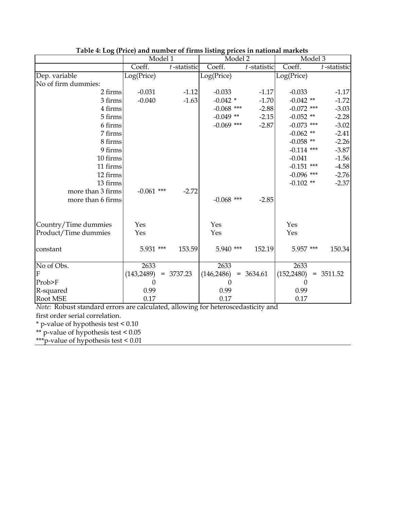|                      | Model 1      |                | Model 2      |                | Model 3                 |                |
|----------------------|--------------|----------------|--------------|----------------|-------------------------|----------------|
|                      | Coeff.       | $t$ -statistic | Coeff.       | $t$ -statistic | Coeff.                  | $t$ -statistic |
| Dep. variable        | Log(Price)   |                | Log(Price)   |                | $Log(\overline{Price})$ |                |
| No of firm dummies:  |              |                |              |                |                         |                |
| 2 firms              | $-0.031$     | $-1.12$        | $-0.033$     | $-1.17$        | $-0.033$                | $-1.17$        |
| 3 firms              | $-0.040$     | $-1.63$        | $-0.042$ *   | $-1.70$        | $-0.042$ **             | $-1.72$        |
| 4 firms              |              |                | $-0.068$ *** | $-2.88$        | $-0.072$ ***            | $-3.03$        |
| 5 firms              |              |                | $-0.049$ **  | $-2.15$        | $-0.052$ **             | $-2.28$        |
| 6 firms              |              |                | $-0.069$ *** | $-2.87$        | $-0.073$ ***            | $-3.02$        |
| 7 firms              |              |                |              |                | $-0.062$ **             | $-2.41$        |
| 8 firms              |              |                |              |                | $-0.058$ **             | $-2.26$        |
| 9 firms              |              |                |              |                | $-0.114$ ***            | $-3.87$        |
| 10 firms             |              |                |              |                | $-0.041$                | $-1.56$        |
| 11 firms             |              |                |              |                | $-0.151$ ***            | $-4.58$        |
| 12 firms             |              |                |              |                | $-0.096$ ***            | $-2.76$        |
| 13 firms             |              |                |              |                | $-0.102$ **             | $-2.37$        |
| more than 3 firms    | $-0.061$ *** | $-2.72$        |              |                |                         |                |
| more than 6 firms    |              |                | $-0.068$ *** | $-2.85$        |                         |                |
|                      |              |                |              |                |                         |                |
| Country/Time dummies | Yes          |                | Yes          |                | Yes                     |                |
| Product/Time dummies | Yes          |                | Yes          |                | Yes                     |                |
| constant             | 5.931 ***    | 153.59         | $5.940$ ***  | 152.19         | 5.957 ***               | 150.34         |
| No of Obs.           | 2633         |                | 2633         |                | 2633                    |                |
| F                    | (143, 2489)  | $= 3737.23$    | (146, 2486)  | $= 3634.61$    | (152, 2480)             | $= 3511.52$    |
| Prob>F               | 0            |                | 0            |                | 0                       |                |
| R-squared            | 0.99         |                | 0.99         |                | 0.99                    |                |
| <b>Root MSE</b>      | 0.17         |                | 0.17         |                | 0.17                    |                |

| Table 4: Log (Price) and number of firms listing prices in national markets |  |  |  |  |
|-----------------------------------------------------------------------------|--|--|--|--|
|                                                                             |  |  |  |  |

*Note:* Robust standard errors are calculated, allowing for heteroscedasticity and

first order serial correlation.

\* p-value of hypothesis test < 0.10

\*\* p-value of hypothesis test < 0.05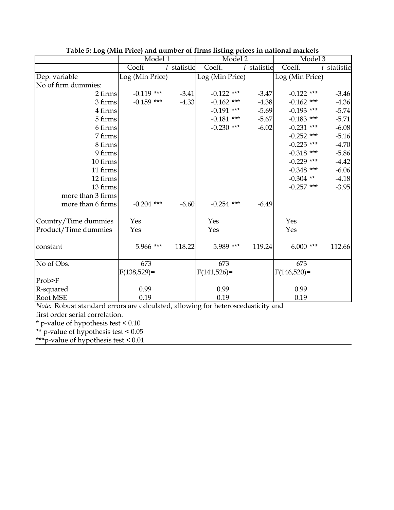|                      | Model 1         |                | Model <sub>2</sub> |                | Model 3         |                |
|----------------------|-----------------|----------------|--------------------|----------------|-----------------|----------------|
|                      | Coeff           | $t$ -statistic | Coeff.             | $t$ -statistic | Coeff.          | $t$ -statistic |
| Dep. variable        | Log (Min Price) |                | Log (Min Price)    |                | Log (Min Price) |                |
| No of firm dummies:  |                 |                |                    |                |                 |                |
| 2 firms              | $-0.119$ ***    | $-3.41$        | $-0.122$ ***       | $-3.47$        | $-0.122$ ***    | $-3.46$        |
| 3 firms              | $-0.159$ ***    | $-4.33$        | $-0.162$ ***       | $-4.38$        | $-0.162$ ***    | $-4.36$        |
| 4 firms              |                 |                | $-0.191$ ***       | $-5.69$        | $-0.193$ ***    | $-5.74$        |
| 5 firms              |                 |                | $-0.181$ ***       | $-5.67$        | $-0.183$ ***    | $-5.71$        |
| 6 firms              |                 |                | $-0.230$ ***       | $-6.02$        | $-0.231$ ***    | $-6.08$        |
| 7 firms              |                 |                |                    |                | $-0.252$ ***    | $-5.16$        |
| 8 firms              |                 |                |                    |                | $-0.225$ ***    | $-4.70$        |
| 9 firms              |                 |                |                    |                | $-0.318$ ***    | $-5.86$        |
| 10 firms             |                 |                |                    |                | $-0.229$ ***    | $-4.42$        |
| 11 firms             |                 |                |                    |                | $-0.348$ ***    | $-6.06$        |
| 12 firms             |                 |                |                    |                | $-0.304$ **     | $-4.18$        |
| 13 firms             |                 |                |                    |                | $-0.257$ ***    | $-3.95$        |
| more than 3 firms    |                 |                |                    |                |                 |                |
| more than 6 firms    | $-0.204$ ***    | $-6.60$        | $-0.254$ ***       | $-6.49$        |                 |                |
| Country/Time dummies | Yes             |                | Yes                |                | Yes             |                |
| Product/Time dummies | Yes             |                | Yes                |                | Yes             |                |
| constant             | 5.966 ***       | 118.22         | 5.989 ***          | 119.24         | $6.000$ ***     | 112.66         |
| No of Obs.           | 673             |                | 673                |                | 673             |                |
|                      | $F(138,529) =$  |                | $F(141,526)$ =     |                | $F(146,520)=$   |                |
| Prob>F               |                 |                |                    |                |                 |                |
| R-squared            | 0.99            |                | 0.99               |                | 0.99            |                |
| Root MSE             | 0.19            |                | 0.19               |                | 0.19            |                |

**Table 5: Log (Min Price) and number of firms listing prices in national markets** 

*Note:* Robust standard errors are calculated, allowing for heteroscedasticity and

first order serial correlation.

\* p-value of hypothesis test < 0.10

\*\* p-value of hypothesis test < 0.05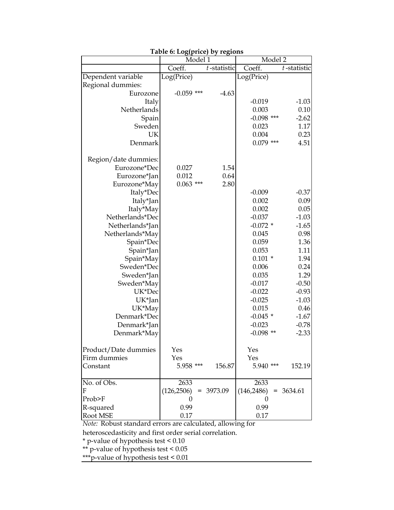|                      | radic v. Dog(price) by regions | Model 1 |                | Model 2                |             |
|----------------------|--------------------------------|---------|----------------|------------------------|-------------|
|                      | Coeff.                         |         | $t$ -statistic | Coeff.                 | t-statistic |
| Dependent variable   | Log(Price)                     |         |                | Log(Price)             |             |
| Regional dummies:    |                                |         |                |                        |             |
| Eurozone             | $-0.059$ ***                   |         | $-4.63$        |                        |             |
| Italy                |                                |         |                | $-0.019$               | $-1.03$     |
| Netherlands          |                                |         |                | 0.003                  | 0.10        |
| Spain                |                                |         |                | $-0.098$ ***           | $-2.62$     |
| Sweden               |                                |         |                | 0.023                  | 1.17        |
| UK                   |                                |         |                | 0.004                  | 0.23        |
| Denmark              |                                |         |                | $0.079$ ***            | 4.51        |
| Region/date dummies: |                                |         |                |                        |             |
| Eurozone*Dec         | 0.027                          |         | 1.54           |                        |             |
| Eurozone*Jan         | 0.012                          |         | 0.64           |                        |             |
| Eurozone*May         | $0.063$ ***                    |         | 2.80           |                        |             |
| Italy*Dec            |                                |         |                | $-0.009$               | $-0.37$     |
| Italy*Jan            |                                |         |                | 0.002                  | 0.09        |
| Italy*May            |                                |         |                | 0.002                  | 0.05        |
| Netherlands*Dec      |                                |         |                | $-0.037$               | $-1.03$     |
| Netherlands*Jan      |                                |         |                | $-0.072$ *             | $-1.65$     |
| Netherlands*May      |                                |         |                | 0.045                  | 0.98        |
| Spain*Dec            |                                |         |                | 0.059                  | 1.36        |
| Spain*Jan            |                                |         |                | 0.053                  | 1.11        |
| Spain*May            |                                |         |                | $0.101 *$              | 1.94        |
| Sweden*Dec           |                                |         |                | 0.006                  | 0.24        |
| Sweden*Jan           |                                |         |                | 0.035                  | 1.29        |
| Sweden*May           |                                |         |                | $-0.017$               | $-0.50$     |
| UK*Dec               |                                |         |                | $-0.022$               | $-0.93$     |
| UK*Jan               |                                |         |                | $-0.025$               | $-1.03$     |
| UK*May               |                                |         |                | 0.015                  | 0.46        |
| Denmark*Dec          |                                |         |                | $-0.045$ *             | $-1.67$     |
| Denmark*Jan          |                                |         |                | $-0.023$               | $-0.78$     |
| Denmark*May          |                                |         |                | $-0.098$ **            | $-2.33$     |
|                      |                                |         |                |                        |             |
| Product/Date dummies | Yes                            |         |                | Yes                    |             |
| Firm dummies         | Yes                            |         |                | Yes                    |             |
| Constant             | 5.958 ***                      |         | 156.87         | 5.940 ***              | 152.19      |
| No. of Obs.          | 2633                           |         |                | 2633                   |             |
| F                    | (126, 2506)                    |         | $= 3973.09$    | $(146,2486) = 3634.61$ |             |
| Prob>F               | $\theta$                       |         |                | $\theta$               |             |
| R-squared            | 0.99                           |         |                | 0.99                   |             |
| Root MSE             | 0.17                           |         |                | 0.17                   |             |

**Table 6: Log(price) by regions**

*Note:* Robust standard errors are calculated, allowing for

heteroscedasticity and first order serial correlation.

\* p-value of hypothesis test < 0.10

\*\* p-value of hypothesis test < 0.05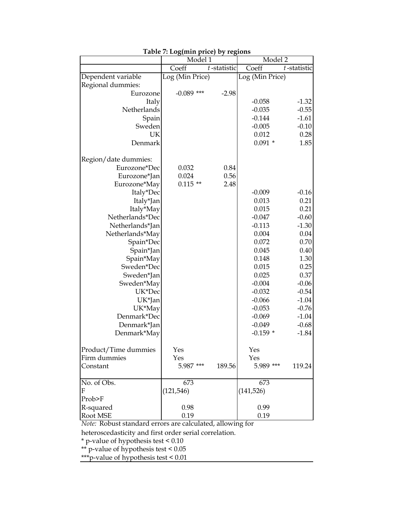|                      | Model 1         |                | Model <sub>2</sub> |             |
|----------------------|-----------------|----------------|--------------------|-------------|
|                      | Coeff           | $t$ -statistic | Coeff              | t-statistic |
| Dependent variable   | Log (Min Price) |                | Log (Min Price)    |             |
| Regional dummies:    |                 |                |                    |             |
| Eurozone             | $-0.089$ ***    | $-2.98$        |                    |             |
| Italy                |                 |                | $-0.058$           | $-1.32$     |
| Netherlands          |                 |                | $-0.035$           | $-0.55$     |
| Spain                |                 |                | $-0.144$           | $-1.61$     |
| Sweden               |                 |                | $-0.005$           | $-0.10$     |
| UK                   |                 |                | 0.012              | 0.28        |
| Denmark              |                 |                | $0.091*$           | 1.85        |
| Region/date dummies: |                 |                |                    |             |
| Eurozone*Dec         | 0.032           | 0.84           |                    |             |
| Eurozone*Jan         | 0.024           | 0.56           |                    |             |
| Eurozone*May         | $0.115$ **      | 2.48           |                    |             |
| Italy*Dec            |                 |                | $-0.009$           | $-0.16$     |
| Italy*Jan            |                 |                | 0.013              | 0.21        |
| Italy*May            |                 |                | 0.015              | 0.21        |
| Netherlands*Dec      |                 |                | $-0.047$           | $-0.60$     |
| Netherlands*Jan      |                 |                | $-0.113$           | $-1.30$     |
| Netherlands*May      |                 |                | 0.004              | 0.04        |
| Spain*Dec            |                 |                | 0.072              | 0.70        |
| Spain*Jan            |                 |                | 0.045              | 0.40        |
| Spain*May            |                 |                | 0.148              | 1.30        |
| Sweden*Dec           |                 |                | 0.015              | 0.25        |
| Sweden*Jan           |                 |                | 0.025              | 0.37        |
| Sweden*May           |                 |                | $-0.004$           | $-0.06$     |
| UK*Dec               |                 |                | $-0.032$           | $-0.54$     |
| UK*Jan               |                 |                | $-0.066$           | $-1.04$     |
| UK*May               |                 |                | $-0.053$           | $-0.76$     |
| Denmark*Dec          |                 |                | $-0.069$           | $-1.04$     |
| Denmark*Jan          |                 |                | $-0.049$           | $-0.68$     |
| Denmark*May          |                 |                | $-0.159*$          | $-1.84$     |
| Product/Time dummies | Yes             |                | Yes                |             |
| Firm dummies         | Yes             |                | Yes                |             |
| Constant             | 5.987 ***       | 189.56         | 5.989 ***          | 119.24      |
| No. of Obs.          | 673             |                | 673                |             |
| F                    | (121, 546)      |                | (141, 526)         |             |
| Prob>F               |                 |                |                    |             |
| R-squared            | 0.98            |                | 0.99               |             |
| Root MSE             | 0.19            |                | 0.19               |             |

**Table 7: Log(min price) by regions**

*Note:* Robust standard errors are calculated, allowing for

heteroscedasticity and first order serial correlation.

\* p-value of hypothesis test < 0.10

\*\* p-value of hypothesis test < 0.05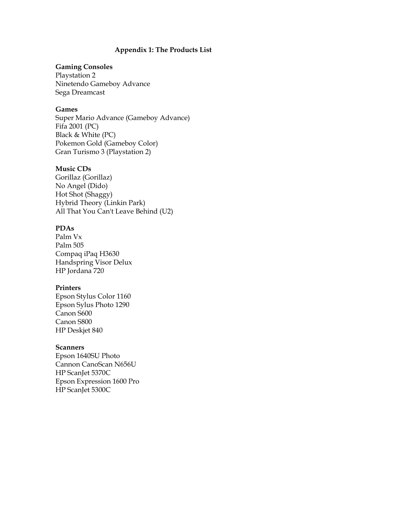### **Appendix 1: The Products List**

### **Gaming Consoles**

Playstation 2 Ninetendo Gameboy Advance Sega Dreamcast

#### **Games**

Super Mario Advance (Gameboy Advance) Fifa 2001 (PC) Black & White (PC) Pokemon Gold (Gameboy Color) Gran Turismo 3 (Playstation 2)

### **Music CDs**

Gorillaz (Gorillaz) No Angel (Dido) Hot Shot (Shaggy) Hybrid Theory (Linkin Park) All That You Can't Leave Behind (U2)

#### **PDAs**

Palm Vx Palm 505 Compaq iPaq H3630 Handspring Visor Delux HP Jordana 720

### **Printers**

Epson Stylus Color 1160 Epson Sylus Photo 1290 Canon S600 Canon S800 HP Deskjet 840

### **Scanners**

Epson 1640SU Photo Cannon CanoScan N656U HP ScanJet 5370C Epson Expression 1600 Pro HP ScanJet 5300C